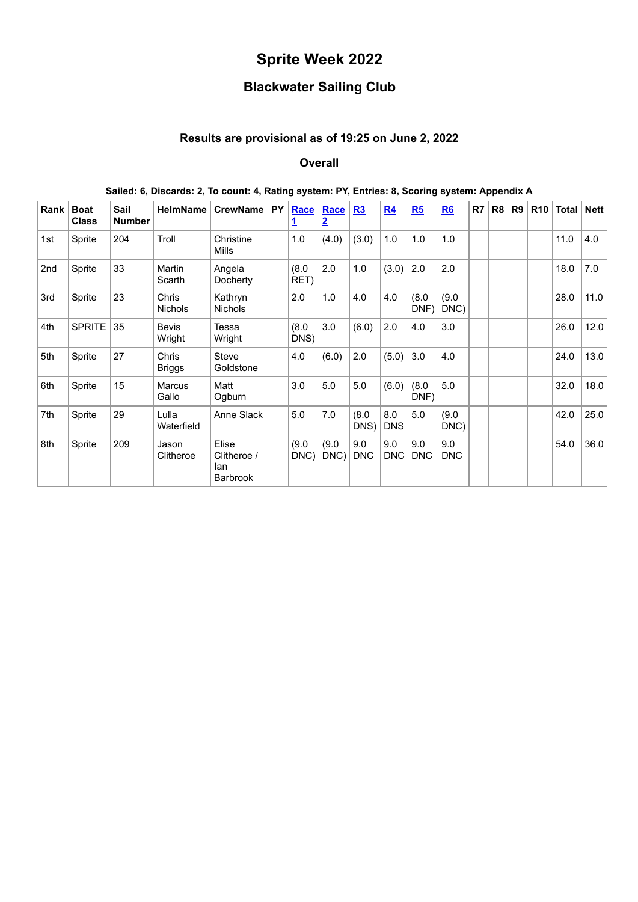# **Sprite Week 2022**

# **Blackwater Sailing Club**

## **Results are provisional as of 19:25 on June 2, 2022**

#### **Overall**

| Rank | <b>Boat</b><br><b>Class</b> | Sail<br><b>Number</b> | <b>HelmName</b>                | <b>CrewName</b>                                | PY | Race<br><u>1</u> | Race<br>$\overline{2}$ | R3                | R <sub>4</sub>    | R5                | R6                | R7 | R <sub>8</sub> | R <sub>9</sub> | <b>R10</b> | Total | Nett |
|------|-----------------------------|-----------------------|--------------------------------|------------------------------------------------|----|------------------|------------------------|-------------------|-------------------|-------------------|-------------------|----|----------------|----------------|------------|-------|------|
| 1st  | Sprite                      | 204                   | Troll                          | Christine<br>Mills                             |    | 1.0              | (4.0)                  | (3.0)             | 1.0               | 1.0               | 1.0               |    |                |                |            | 11.0  | 4.0  |
| 2nd  | Sprite                      | 33                    | <b>Martin</b><br>Scarth        | Angela<br>Docherty                             |    | (8.0)<br>RET)    | 2.0                    | 1.0               | (3.0)             | 2.0               | 2.0               |    |                |                |            | 18.0  | 7.0  |
| 3rd  | Sprite                      | 23                    | <b>Chris</b><br><b>Nichols</b> | Kathryn<br><b>Nichols</b>                      |    | 2.0              | 1.0                    | 4.0               | 4.0               | (8.0)<br>DNF)     | (9.0)<br>DNC)     |    |                |                |            | 28.0  | 11.0 |
| 4th  | <b>SPRITE</b>               | 35                    | <b>Bevis</b><br>Wright         | Tessa<br>Wright                                |    | (8.0)<br>DNS)    | 3.0                    | (6.0)             | 2.0               | 4.0               | 3.0               |    |                |                |            | 26.0  | 12.0 |
| 5th  | Sprite                      | 27                    | Chris<br><b>Briggs</b>         | <b>Steve</b><br>Goldstone                      |    | 4.0              | (6.0)                  | 2.0               | (5.0)             | 3.0               | 4.0               |    |                |                |            | 24.0  | 13.0 |
| 6th  | Sprite                      | 15                    | Marcus<br>Gallo                | Matt<br>Ogburn                                 |    | 3.0              | 5.0                    | 5.0               | (6.0)             | (8.0)<br>DNF)     | 5.0               |    |                |                |            | 32.0  | 18.0 |
| 7th  | Sprite                      | 29                    | Lulla<br>Waterfield            | Anne Slack                                     |    | 5.0              | 7.0                    | (8.0)<br>DNS)     | 8.0<br><b>DNS</b> | 5.0               | (9.0)<br>DNC)     |    |                |                |            | 42.0  | 25.0 |
| 8th  | Sprite                      | 209                   | Jason<br>Clitheroe             | Elise<br>Clitheroe /<br>lan<br><b>Barbrook</b> |    | (9.0)<br>DNC)    | (9.0)<br>DNC)          | 9.0<br><b>DNC</b> | 9.0<br><b>DNC</b> | 9.0<br><b>DNC</b> | 9.0<br><b>DNC</b> |    |                |                |            | 54.0  | 36.0 |

#### **Sailed: 6, Discards: 2, To count: 4, Rating system: PY, Entries: 8, Scoring system: Appendix A**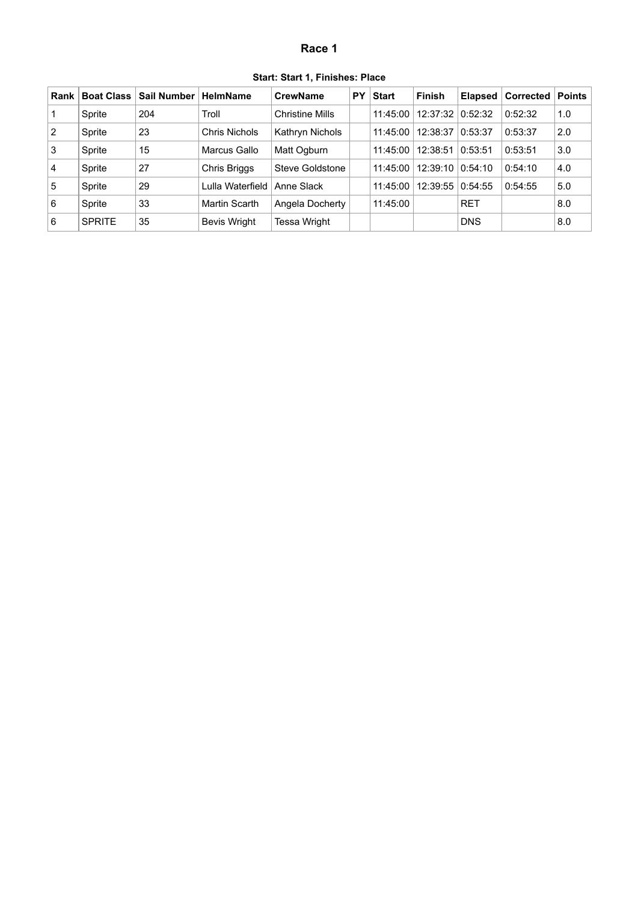#### **Race 1**

| Start: Start 1, Finishes: Place |  |
|---------------------------------|--|
|---------------------------------|--|

<span id="page-1-0"></span>

| Rank           | <b>Boat Class</b> | <b>Sail Number</b> | <b>HelmName</b>  | <b>CrewName</b>        | <b>PY</b> | <b>Start</b> | <b>Finish</b> | <b>Elapsed</b> | Corrected | Points |
|----------------|-------------------|--------------------|------------------|------------------------|-----------|--------------|---------------|----------------|-----------|--------|
|                | Sprite            | 204                | Troll            | <b>Christine Mills</b> |           | 11:45:00     | 12:37:32      | 0:52:32        | 0:52:32   | 1.0    |
| $\overline{2}$ | Sprite            | 23                 | Chris Nichols    | Kathryn Nichols        |           | 11:45:00     | 12:38:37      | 0:53:37        | 0:53:37   | 2.0    |
| 3              | Sprite            | 15                 | Marcus Gallo     | Matt Ogburn            |           | 11:45:00     | 12:38:51      | 0:53:51        | 0:53:51   | 3.0    |
| $\vert$ 4      | Sprite            | 27                 | Chris Briggs     | Steve Goldstone        |           | 11:45:00     | 12:39:10      | 0:54:10        | 0:54:10   | 4.0    |
| 5              | Sprite            | 29                 | Lulla Waterfield | Anne Slack             |           | 11:45:00     | 12:39:55      | 0:54:55        | 0:54:55   | 5.0    |
| 6              | Sprite            | 33                 | Martin Scarth    | Angela Docherty        |           | 11:45:00     |               | <b>RET</b>     |           | 8.0    |
| 6              | <b>SPRITE</b>     | 35                 | Bevis Wright     | Tessa Wright           |           |              |               | <b>DNS</b>     |           | 8.0    |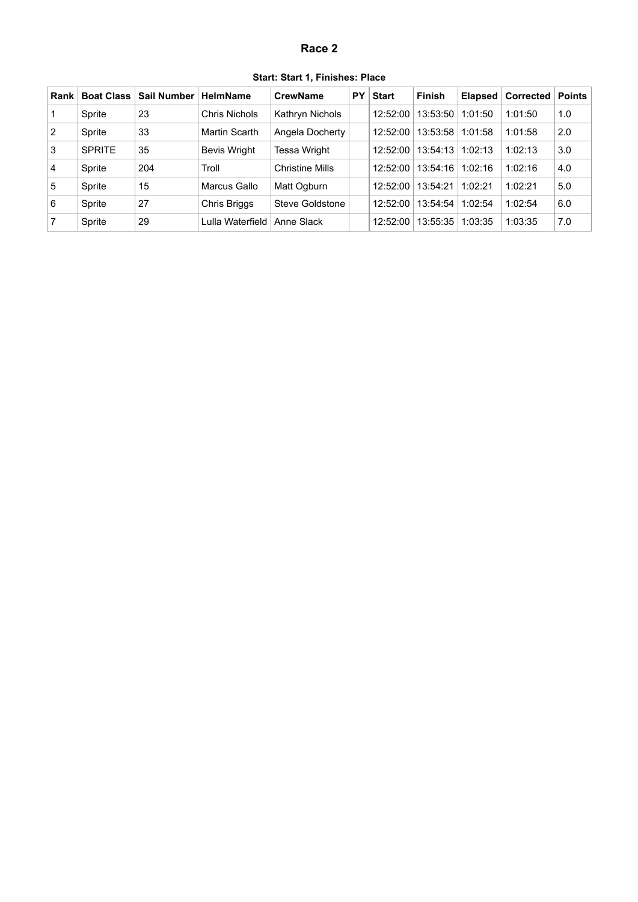### **Race 2**

<span id="page-2-0"></span>

| Rank           | <b>Boat Class</b> | <b>Sail Number</b> | <b>HelmName</b>     | <b>CrewName</b>        | PY | <b>Start</b> | <b>Finish</b> | <b>Elapsed</b> | <b>Corrected</b> | <b>Points</b> |
|----------------|-------------------|--------------------|---------------------|------------------------|----|--------------|---------------|----------------|------------------|---------------|
| $\mathbf 1$    | Sprite            | 23                 | Chris Nichols       | Kathryn Nichols        |    | 12:52:00     | 13:53:50      | 1:01:50        | 1:01:50          | 1.0           |
| $\overline{2}$ | Sprite            | 33                 | Martin Scarth       | Angela Docherty        |    | 12:52:00     | 13:53:58      | 1:01:58        | 1:01:58          | 2.0           |
| 3              | <b>SPRITE</b>     | 35                 | <b>Bevis Wright</b> | <b>Tessa Wright</b>    |    | 12:52:00     | 13:54:13      | 1:02:13        | 1:02:13          | 3.0           |
| $\vert 4$      | Sprite            | 204                | Troll               | <b>Christine Mills</b> |    | 12:52:00     | 13:54:16      | 1:02:16        | 1:02:16          | 4.0           |
| 5              | Sprite            | 15                 | Marcus Gallo        | Matt Ogburn            |    | 12:52:00     | 13:54:21      | 1:02:21        | 1:02:21          | 5.0           |
| l 6            | Sprite            | 27                 | <b>Chris Briggs</b> | Steve Goldstone        |    | 12:52:00     | 13:54:54      | 1:02:54        | 1:02:54          | 6.0           |
| 7              | Sprite            | 29                 | Lulla Waterfield    | Anne Slack             |    | 12:52:00     | 13:55:35      | 1:03:35        | 1:03:35          | 7.0           |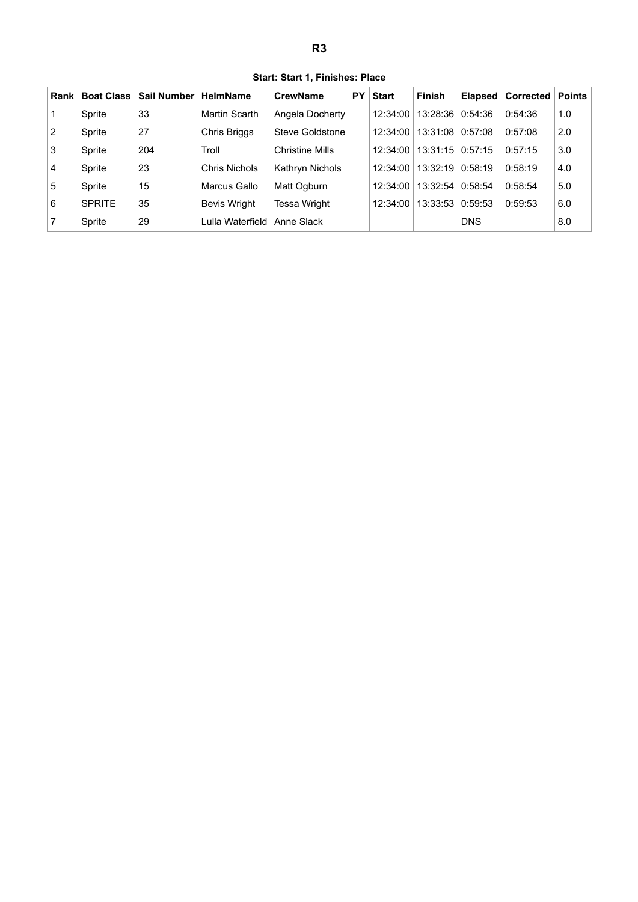**Start: Start 1, Finishes: Place**

<span id="page-3-0"></span>

| Rank           | <b>Boat Class</b> | Sail Number | <b>HelmName</b>     | CrewName               | PY | <b>Start</b> | <b>Finish</b> | Elapsed    | <b>Corrected</b> | <b>Points</b> |
|----------------|-------------------|-------------|---------------------|------------------------|----|--------------|---------------|------------|------------------|---------------|
|                | Sprite            | 33          | Martin Scarth       | Angela Docherty        |    | 12:34:00     | 13:28:36      | 0:54:36    | 0:54:36          | 1.0           |
| $\overline{2}$ | Sprite            | 27          | Chris Briggs        | Steve Goldstone        |    | 12:34:00     | 13:31:08      | 0:57:08    | 0:57:08          | 2.0           |
| 3              | Sprite            | 204         | Troll               | <b>Christine Mills</b> |    | 12:34:00     | 13:31:15      | 0:57:15    | 0:57:15          | 3.0           |
| $\overline{4}$ | Sprite            | 23          | Chris Nichols       | Kathryn Nichols        |    | 12:34:00     | 13:32:19      | 0:58:19    | 0:58:19          | 4.0           |
| 5              | Sprite            | 15          | Marcus Gallo        | Matt Ogburn            |    | 12:34:00     | 13:32:54      | 0:58:54    | 0:58:54          | 5.0           |
| 6              | <b>SPRITE</b>     | 35          | <b>Bevis Wright</b> | Tessa Wright           |    | 12:34:00     | 13:33:53      | 0:59:53    | 0:59:53          | 6.0           |
| 7              | Sprite            | 29          | Lulla Waterfield    | Anne Slack             |    |              |               | <b>DNS</b> |                  | 8.0           |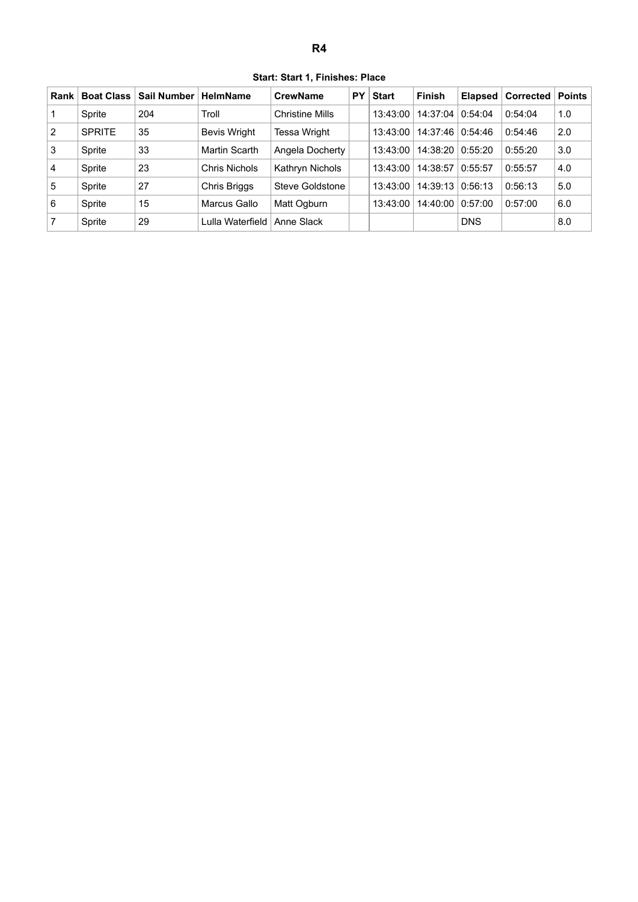**Start: Start 1, Finishes: Place**

<span id="page-4-0"></span>

| Rank           | <b>Boat Class</b> | Sail Number | <b>HelmName</b>      | <b>CrewName</b>        | PY | <b>Start</b> | <b>Finish</b> | <b>Elapsed</b> | ⊦Corrected <b>I</b> | <b>Points</b> |
|----------------|-------------------|-------------|----------------------|------------------------|----|--------------|---------------|----------------|---------------------|---------------|
|                | Sprite            | 204         | Troll                | <b>Christine Mills</b> |    | 13:43:00     | 14:37:04      | 0:54:04        | 0:54:04             | 1.0           |
| $\overline{2}$ | <b>SPRITE</b>     | 35          | <b>Bevis Wright</b>  | Tessa Wright           |    | 13:43:00     | 14:37:46      | 0:54:46        | 0:54:46             | 2.0           |
| 3              | Sprite            | 33          | Martin Scarth        | Angela Docherty        |    | 13:43:00     | 14:38:20      | 0:55:20        | 0:55:20             | 3.0           |
| $\vert$ 4      | Sprite            | 23          | <b>Chris Nichols</b> | Kathryn Nichols        |    | 13:43:00     | 14:38:57      | 0:55:57        | 0:55:57             | 4.0           |
| 5              | Sprite            | 27          | <b>Chris Briggs</b>  | Steve Goldstone        |    | 13:43:00     | 14:39:13      | 0:56:13        | 0:56:13             | 5.0           |
| 6              | Sprite            | 15          | Marcus Gallo         | Matt Ogburn            |    | 13:43:00     | 14:40:00      | 0:57:00        | 0:57:00             | 6.0           |
| 7              | Sprite            | 29          | Lulla Waterfield     | Anne Slack             |    |              |               | <b>DNS</b>     |                     | 8.0           |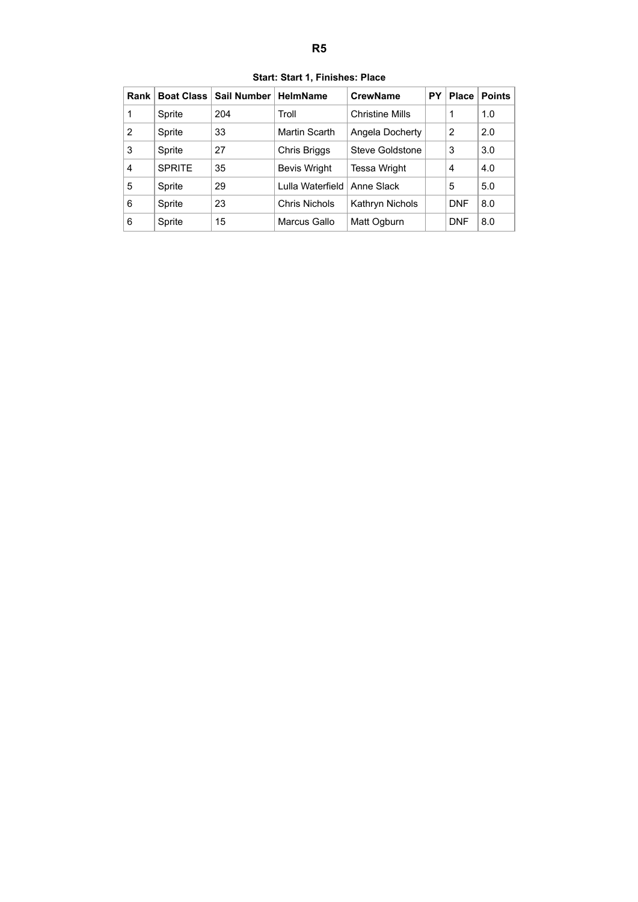<span id="page-5-0"></span>

| Rank           | <b>Boat Class</b> | <b>Sail Number</b> | <b>HelmName</b>     | <b>CrewName</b><br>PY  |  | <b>Place</b> | <b>Points</b> |
|----------------|-------------------|--------------------|---------------------|------------------------|--|--------------|---------------|
| 1              | Sprite            | 204                | Troll               | <b>Christine Mills</b> |  | 1            | 1.0           |
| $\overline{2}$ | Sprite            | 33                 | Martin Scarth       | Angela Docherty        |  | 2            | 2.0           |
| 3              | Sprite            | 27                 | Chris Briggs        | Steve Goldstone        |  | 3            | 3.0           |
| 4              | <b>SPRITE</b>     | 35                 | <b>Bevis Wright</b> | <b>Tessa Wright</b>    |  | 4            | 4.0           |
| 5              | Sprite            | 29                 | Lulla Waterfield    | Anne Slack             |  | 5            | 5.0           |
| 6              | Sprite            | 23                 | Chris Nichols       | Kathryn Nichols        |  | <b>DNF</b>   | 8.0           |
| 6              | Sprite            | 15                 | Marcus Gallo        | Matt Ogburn            |  | <b>DNF</b>   | 8.0           |

**Start: Start 1, Finishes: Place**